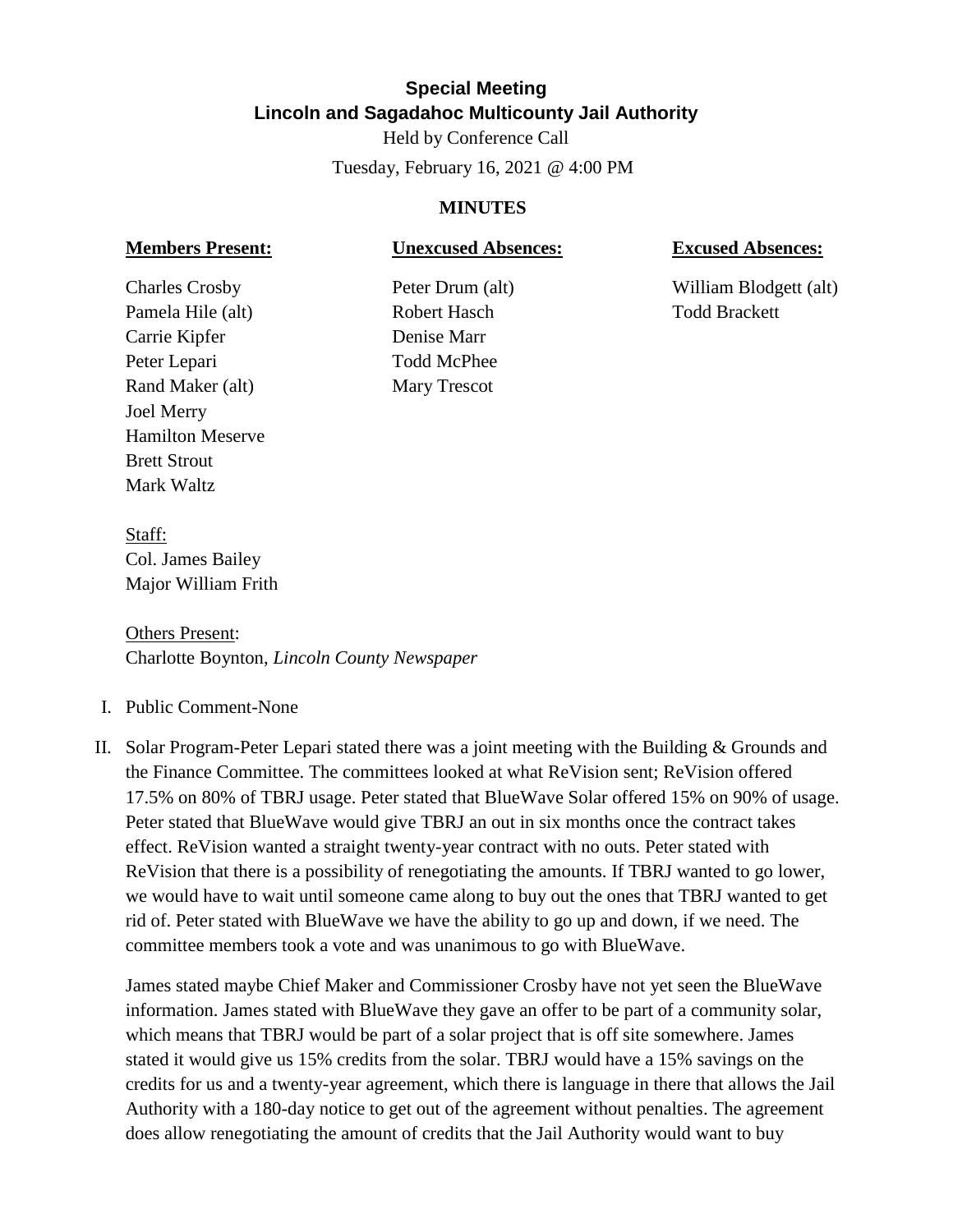# **Special Meeting Lincoln and Sagadahoc Multicounty Jail Authority**

Held by Conference Call Tuesday, February 16, 2021 @ 4:00 PM

### **MINUTES**

## **Members Present: Unexcused Absences: Excused Absences:**

Pamela Hile (alt) Robert Hasch Todd Brackett Carrie Kipfer Denise Marr Peter Lepari Todd McPhee Rand Maker (alt) Mary Trescot Joel Merry Hamilton Meserve Brett Strout Mark Waltz

Charles Crosby Peter Drum (alt) William Blodgett (alt)

Staff: Col. James Bailey Major William Frith

Others Present: Charlotte Boynton, *Lincoln County Newspaper*

- I. Public Comment-None
- II. Solar Program-Peter Lepari stated there was a joint meeting with the Building & Grounds and the Finance Committee. The committees looked at what ReVision sent; ReVision offered 17.5% on 80% of TBRJ usage. Peter stated that BlueWave Solar offered 15% on 90% of usage. Peter stated that BlueWave would give TBRJ an out in six months once the contract takes effect. ReVision wanted a straight twenty-year contract with no outs. Peter stated with ReVision that there is a possibility of renegotiating the amounts. If TBRJ wanted to go lower, we would have to wait until someone came along to buy out the ones that TBRJ wanted to get rid of. Peter stated with BlueWave we have the ability to go up and down, if we need. The committee members took a vote and was unanimous to go with BlueWave.

James stated maybe Chief Maker and Commissioner Crosby have not yet seen the BlueWave information. James stated with BlueWave they gave an offer to be part of a community solar, which means that TBRJ would be part of a solar project that is off site somewhere. James stated it would give us 15% credits from the solar. TBRJ would have a 15% savings on the credits for us and a twenty-year agreement, which there is language in there that allows the Jail Authority with a 180-day notice to get out of the agreement without penalties. The agreement does allow renegotiating the amount of credits that the Jail Authority would want to buy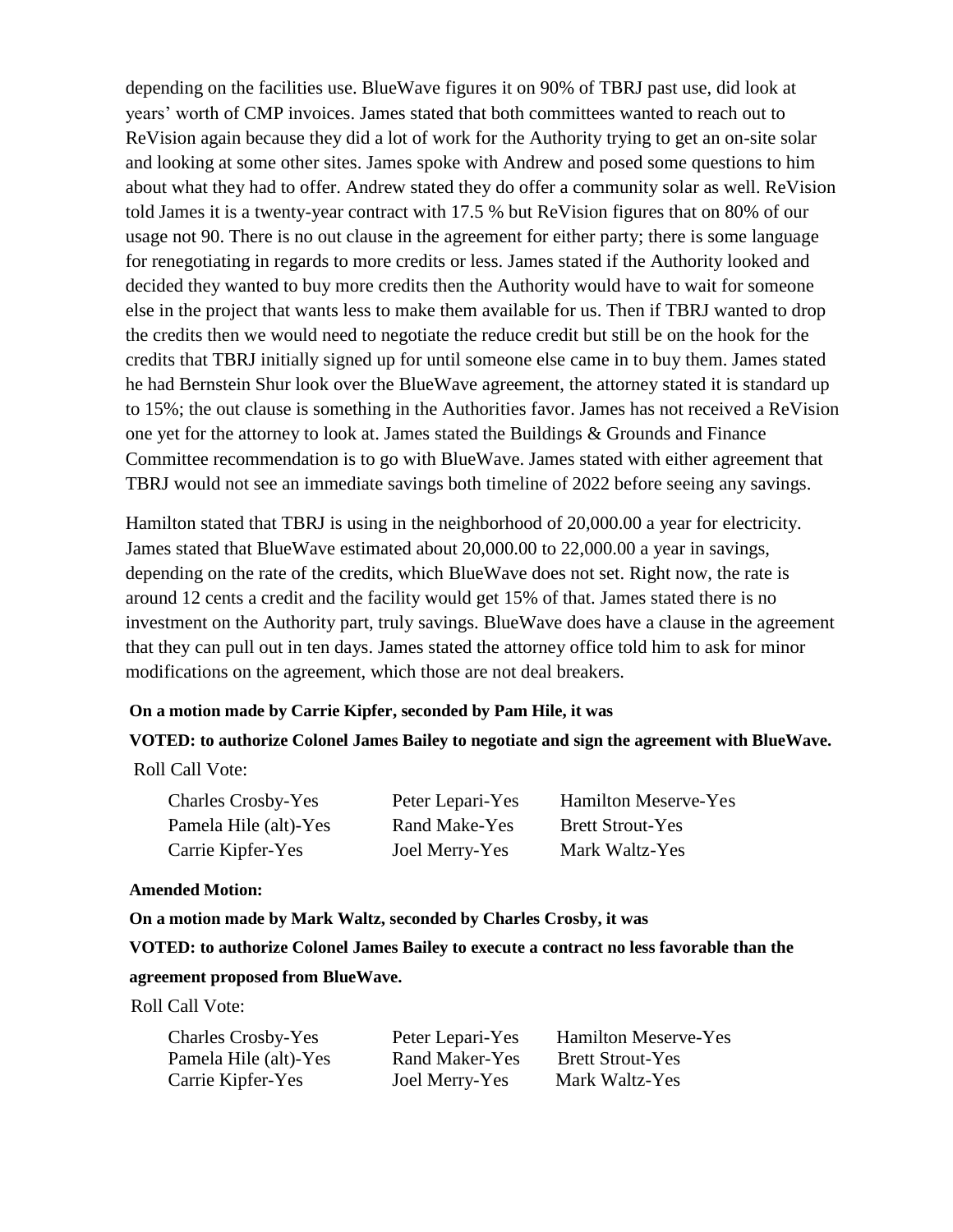depending on the facilities use. BlueWave figures it on 90% of TBRJ past use, did look at years' worth of CMP invoices. James stated that both committees wanted to reach out to ReVision again because they did a lot of work for the Authority trying to get an on-site solar and looking at some other sites. James spoke with Andrew and posed some questions to him about what they had to offer. Andrew stated they do offer a community solar as well. ReVision told James it is a twenty-year contract with 17.5 % but ReVision figures that on 80% of our usage not 90. There is no out clause in the agreement for either party; there is some language for renegotiating in regards to more credits or less. James stated if the Authority looked and decided they wanted to buy more credits then the Authority would have to wait for someone else in the project that wants less to make them available for us. Then if TBRJ wanted to drop the credits then we would need to negotiate the reduce credit but still be on the hook for the credits that TBRJ initially signed up for until someone else came in to buy them. James stated he had Bernstein Shur look over the BlueWave agreement, the attorney stated it is standard up to 15%; the out clause is something in the Authorities favor. James has not received a ReVision one yet for the attorney to look at. James stated the Buildings & Grounds and Finance Committee recommendation is to go with BlueWave. James stated with either agreement that TBRJ would not see an immediate savings both timeline of 2022 before seeing any savings.

Hamilton stated that TBRJ is using in the neighborhood of 20,000.00 a year for electricity. James stated that BlueWave estimated about 20,000.00 to 22,000.00 a year in savings, depending on the rate of the credits, which BlueWave does not set. Right now, the rate is around 12 cents a credit and the facility would get 15% of that. James stated there is no investment on the Authority part, truly savings. BlueWave does have a clause in the agreement that they can pull out in ten days. James stated the attorney office told him to ask for minor modifications on the agreement, which those are not deal breakers.

#### **On a motion made by Carrie Kipfer, seconded by Pam Hile, it was**

## **VOTED: to authorize Colonel James Bailey to negotiate and sign the agreement with BlueWave.**

Roll Call Vote:

| <b>Charles Crosby-Yes</b> | Peter Lepari-Yes | <b>Hamilton Meserve-Yes</b> |
|---------------------------|------------------|-----------------------------|
| Pamela Hile (alt)-Yes     | Rand Make-Yes    | <b>Brett Strout-Yes</b>     |
| Carrie Kipfer-Yes         | Joel Merry-Yes   | Mark Waltz-Yes              |

#### **Amended Motion:**

 **On a motion made by Mark Waltz, seconded by Charles Crosby, it was**

 **VOTED: to authorize Colonel James Bailey to execute a contract no less favorable than the agreement proposed from BlueWave.**

Roll Call Vote:

| <b>Charles Crosby-Yes</b> | Peter Lepari-Yes | <b>Hamilton Meserve-Yes</b> |
|---------------------------|------------------|-----------------------------|
| Pamela Hile (alt)-Yes     | Rand Maker-Yes   | <b>Brett Strout-Yes</b>     |
| Carrie Kipfer-Yes         | Joel Merry-Yes   | Mark Waltz-Yes              |